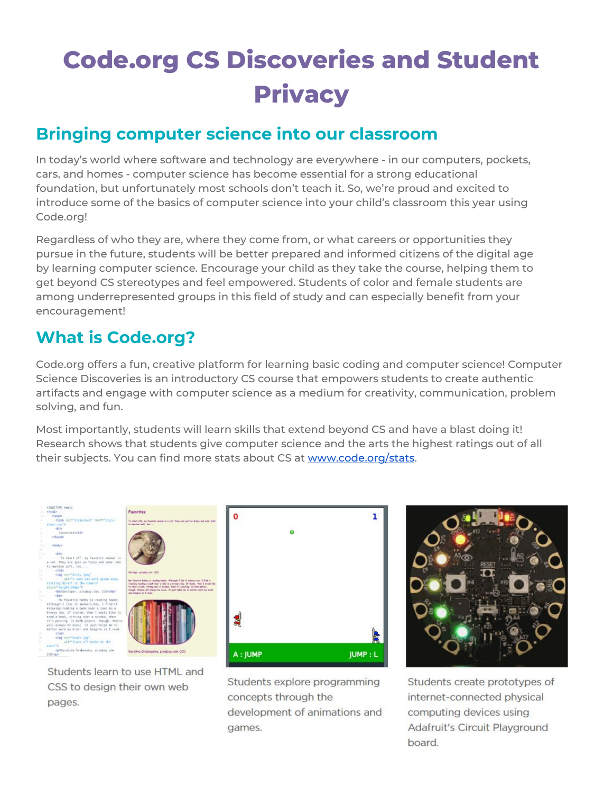# **Code.org CS Discoveries and Student Privacy**

## **Bringing computer science into our classroom**

In today's world where software and technology are everywhere - in our computers, pockets, cars, and homes - computer science has become essential for a strong educational foundation, but unfortunately most schools don't teach it. So, we're proud and excited to introduce some of the basics of computer science into your child's classroom this year using Code.org!

Regardless of who they are, where they come from, or what careers or opportunities they pursue in the future, students will be better prepared and informed citizens of the digital age by learning computer science. Encourage your child as they take the course, helping them to get beyond CS stereotypes and feel empowered. Students of color and female students are among underrepresented groups in this field of study and can especially benefit from your encouragement!

# **What is Code.org?**

Code.org offers a fun, creative platform for learning basic coding and computer science! Computer Science Discoveries is an introductory CS course that empowers students to create authentic artifacts and engage with computer science as a medium for creativity, communication, problem solving, and fun.

Most importantly, students will learn skills that extend beyond CS and have a blast doing it! Research shows that students give computer science and the arts the highest ratings out of all their subjects. You can find more stats [about](https://code.org/stats) CS at [www.code.org/stats](http://www.code.org/stats)[.](https://code.org/stats)



Students learn to use HTML and CSS to design their own web pages.



Students explore programming concepts through the development of animations and games.



Students create prototypes of internet-connected physical computing devices using Adafruit's Circuit Playground board.